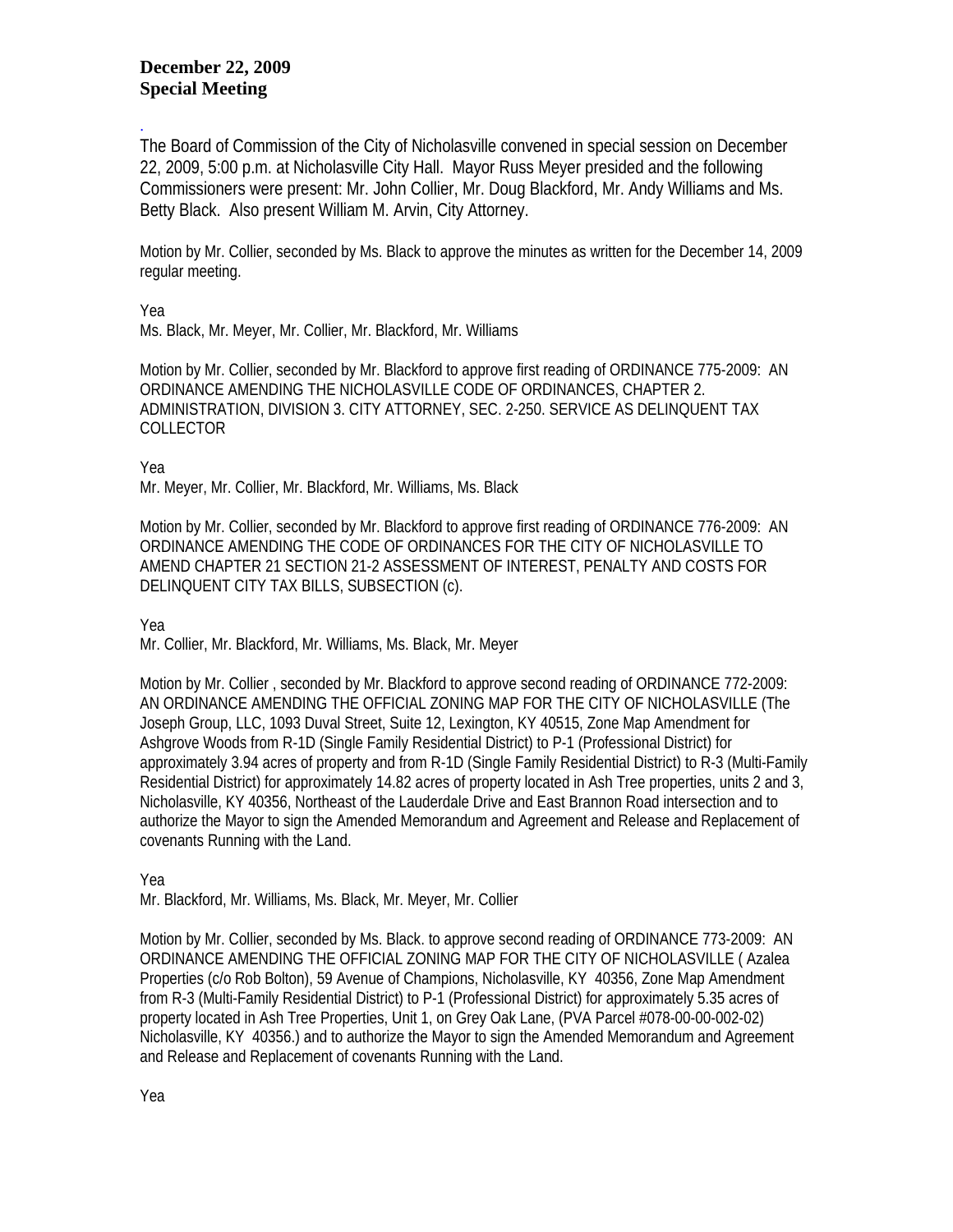## **December 22, 2009 Special Meeting**

The Board of Commission of the City of Nicholasville convened in special session on December 22, 2009, 5:00 p.m. at Nicholasville City Hall. Mayor Russ Meyer presided and the following Commissioners were present: Mr. John Collier, Mr. Doug Blackford, Mr. Andy Williams and Ms. Betty Black. Also present William M. Arvin, City Attorney.

Motion by Mr. Collier, seconded by Ms. Black to approve the minutes as written for the December 14, 2009 regular meeting.

Yea

.

Ms. Black, Mr. Meyer, Mr. Collier, Mr. Blackford, Mr. Williams

Motion by Mr. Collier, seconded by Mr. Blackford to approve first reading of ORDINANCE 775-2009: AN ORDINANCE AMENDING THE NICHOLASVILLE CODE OF ORDINANCES, CHAPTER 2. ADMINISTRATION, DIVISION 3. CITY ATTORNEY, SEC. 2-250. SERVICE AS DELINQUENT TAX COLLECTOR

Yea

Mr. Meyer, Mr. Collier, Mr. Blackford, Mr. Williams, Ms. Black

Motion by Mr. Collier, seconded by Mr. Blackford to approve first reading of ORDINANCE 776-2009: AN ORDINANCE AMENDING THE CODE OF ORDINANCES FOR THE CITY OF NICHOLASVILLE TO AMEND CHAPTER 21 SECTION 21-2 ASSESSMENT OF INTEREST, PENALTY AND COSTS FOR DELINQUENT CITY TAX BILLS, SUBSECTION (c).

Yea

Mr. Collier, Mr. Blackford, Mr. Williams, Ms. Black, Mr. Meyer

Motion by Mr. Collier , seconded by Mr. Blackford to approve second reading of ORDINANCE 772-2009: AN ORDINANCE AMENDING THE OFFICIAL ZONING MAP FOR THE CITY OF NICHOLASVILLE (The Joseph Group, LLC, 1093 Duval Street, Suite 12, Lexington, KY 40515, Zone Map Amendment for Ashgrove Woods from R-1D (Single Family Residential District) to P-1 (Professional District) for approximately 3.94 acres of property and from R-1D (Single Family Residential District) to R-3 (Multi-Family Residential District) for approximately 14.82 acres of property located in Ash Tree properties, units 2 and 3, Nicholasville, KY 40356, Northeast of the Lauderdale Drive and East Brannon Road intersection and to authorize the Mayor to sign the Amended Memorandum and Agreement and Release and Replacement of covenants Running with the Land.

Yea

Mr. Blackford, Mr. Williams, Ms. Black, Mr. Meyer, Mr. Collier

Motion by Mr. Collier, seconded by Ms. Black. to approve second reading of ORDINANCE 773-2009: AN ORDINANCE AMENDING THE OFFICIAL ZONING MAP FOR THE CITY OF NICHOLASVILLE ( Azalea Properties (c/o Rob Bolton), 59 Avenue of Champions, Nicholasville, KY 40356, Zone Map Amendment from R-3 (Multi-Family Residential District) to P-1 (Professional District) for approximately 5.35 acres of property located in Ash Tree Properties, Unit 1, on Grey Oak Lane, (PVA Parcel #078-00-00-002-02) Nicholasville, KY 40356.) and to authorize the Mayor to sign the Amended Memorandum and Agreement and Release and Replacement of covenants Running with the Land.